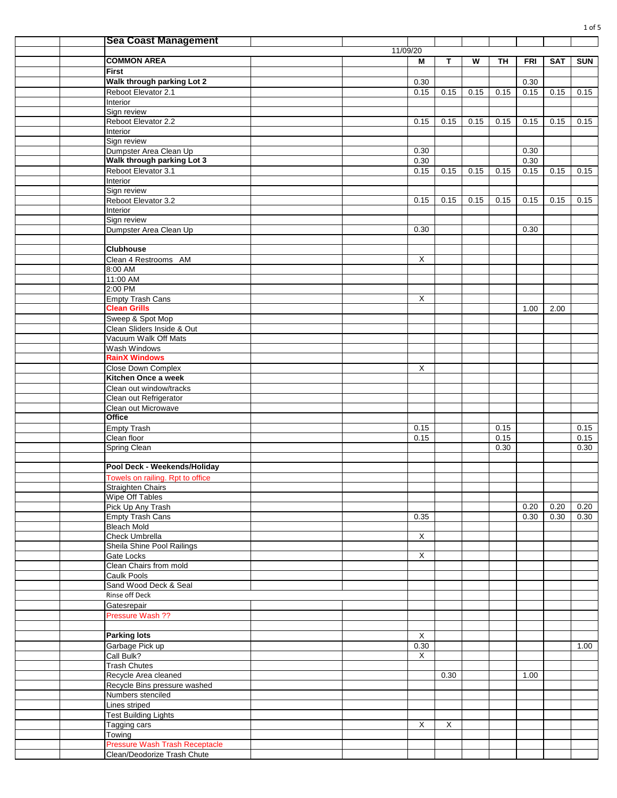|  | <b>Sea Coast Management</b>        |                         |              |      |           |            |            |            |
|--|------------------------------------|-------------------------|--------------|------|-----------|------------|------------|------------|
|  |                                    | 11/09/20                |              |      |           |            |            |            |
|  | <b>COMMON AREA</b>                 | M                       | $\mathbf{T}$ | W    | <b>TH</b> | <b>FRI</b> | <b>SAT</b> | <b>SUN</b> |
|  | <b>First</b>                       |                         |              |      |           |            |            |            |
|  | Walk through parking Lot 2         | 0.30                    |              |      |           | 0.30       |            |            |
|  | Reboot Elevator 2.1                | 0.15                    | 0.15         | 0.15 | 0.15      | 0.15       | 0.15       | 0.15       |
|  | Interior                           |                         |              |      |           |            |            |            |
|  | Sign review                        |                         |              |      |           |            |            |            |
|  | Reboot Elevator 2.2                | 0.15                    | 0.15         | 0.15 | 0.15      | 0.15       | 0.15       | 0.15       |
|  | Interior                           |                         |              |      |           |            |            |            |
|  | Sign review                        |                         |              |      |           |            |            |            |
|  | Dumpster Area Clean Up             | 0.30                    |              |      |           | 0.30       |            |            |
|  | Walk through parking Lot 3         | 0.30                    |              |      |           | 0.30       |            |            |
|  | Reboot Elevator 3.1                |                         |              | 0.15 |           | 0.15       |            |            |
|  |                                    | 0.15                    | 0.15         |      | 0.15      |            | 0.15       | 0.15       |
|  | Interior                           |                         |              |      |           |            |            |            |
|  | Sign review<br>Reboot Elevator 3.2 | 0.15                    | 0.15         | 0.15 | 0.15      | 0.15       | 0.15       | 0.15       |
|  |                                    |                         |              |      |           |            |            |            |
|  | Interior                           |                         |              |      |           |            |            |            |
|  | Sign review                        |                         |              |      |           |            |            |            |
|  | Dumpster Area Clean Up             | 0.30                    |              |      |           | 0.30       |            |            |
|  |                                    |                         |              |      |           |            |            |            |
|  | <b>Clubhouse</b>                   |                         |              |      |           |            |            |            |
|  | Clean 4 Restrooms AM               | X                       |              |      |           |            |            |            |
|  | 8:00 AM                            |                         |              |      |           |            |            |            |
|  | 11:00 AM                           |                         |              |      |           |            |            |            |
|  | 2:00 PM                            |                         |              |      |           |            |            |            |
|  | <b>Empty Trash Cans</b>            | X                       |              |      |           |            |            |            |
|  | <b>Clean Grills</b>                |                         |              |      |           | 1.00       | 2.00       |            |
|  | Sweep & Spot Mop                   |                         |              |      |           |            |            |            |
|  | Clean Sliders Inside & Out         |                         |              |      |           |            |            |            |
|  | Vacuum Walk Off Mats               |                         |              |      |           |            |            |            |
|  | Wash Windows                       |                         |              |      |           |            |            |            |
|  | <b>RainX Windows</b>               |                         |              |      |           |            |            |            |
|  | <b>Close Down Complex</b>          | X                       |              |      |           |            |            |            |
|  | Kitchen Once a week                |                         |              |      |           |            |            |            |
|  | Clean out window/tracks            |                         |              |      |           |            |            |            |
|  | Clean out Refrigerator             |                         |              |      |           |            |            |            |
|  | Clean out Microwave                |                         |              |      |           |            |            |            |
|  | <b>Office</b>                      |                         |              |      |           |            |            |            |
|  | <b>Empty Trash</b>                 | 0.15                    |              |      | 0.15      |            |            | 0.15       |
|  | Clean floor                        | 0.15                    |              |      | 0.15      |            |            | 0.15       |
|  | Spring Clean                       |                         |              |      | 0.30      |            |            | 0.30       |
|  |                                    |                         |              |      |           |            |            |            |
|  | Pool Deck - Weekends/Holiday       |                         |              |      |           |            |            |            |
|  | Towels on railing. Rpt to office   |                         |              |      |           |            |            |            |
|  | Straighten Chairs                  |                         |              |      |           |            |            |            |
|  | <b>Wipe Off Tables</b>             |                         |              |      |           |            |            |            |
|  | Pick Up Any Trash                  |                         |              |      |           | 0.20       | 0.20       | 0.20       |
|  | <b>Empty Trash Cans</b>            | 0.35                    |              |      |           | 0.30       | 0.30       | 0.30       |
|  | <b>Bleach Mold</b>                 |                         |              |      |           |            |            |            |
|  | <b>Check Umbrella</b>              | $\overline{\mathsf{x}}$ |              |      |           |            |            |            |
|  | Sheila Shine Pool Railings         |                         |              |      |           |            |            |            |
|  | Gate Locks                         | $\overline{X}$          |              |      |           |            |            |            |
|  | Clean Chairs from mold             |                         |              |      |           |            |            |            |
|  | Caulk Pools                        |                         |              |      |           |            |            |            |
|  | Sand Wood Deck & Seal              |                         |              |      |           |            |            |            |
|  | Rinse off Deck                     |                         |              |      |           |            |            |            |
|  |                                    |                         |              |      |           |            |            |            |
|  | Gatesrepair                        |                         |              |      |           |            |            |            |
|  | Pressure Wash ??                   |                         |              |      |           |            |            |            |
|  |                                    |                         |              |      |           |            |            |            |
|  | <b>Parking lots</b>                | $\mathsf X$             |              |      |           |            |            |            |
|  | Garbage Pick up                    | 0.30                    |              |      |           |            |            | 1.00       |
|  | Call Bulk?                         | X                       |              |      |           |            |            |            |
|  | <b>Trash Chutes</b>                |                         |              |      |           |            |            |            |
|  | Recycle Area cleaned               |                         | 0.30         |      |           | 1.00       |            |            |
|  | Recycle Bins pressure washed       |                         |              |      |           |            |            |            |
|  | Numbers stenciled                  |                         |              |      |           |            |            |            |
|  | Lines striped                      |                         |              |      |           |            |            |            |
|  | <b>Test Building Lights</b>        |                         |              |      |           |            |            |            |
|  | Tagging cars                       | X                       | $\mathsf{X}$ |      |           |            |            |            |
|  | Towing                             |                         |              |      |           |            |            |            |
|  | Pressure Wash Trash Receptacle     |                         |              |      |           |            |            |            |
|  | Clean/Deodorize Trash Chute        |                         |              |      |           |            |            |            |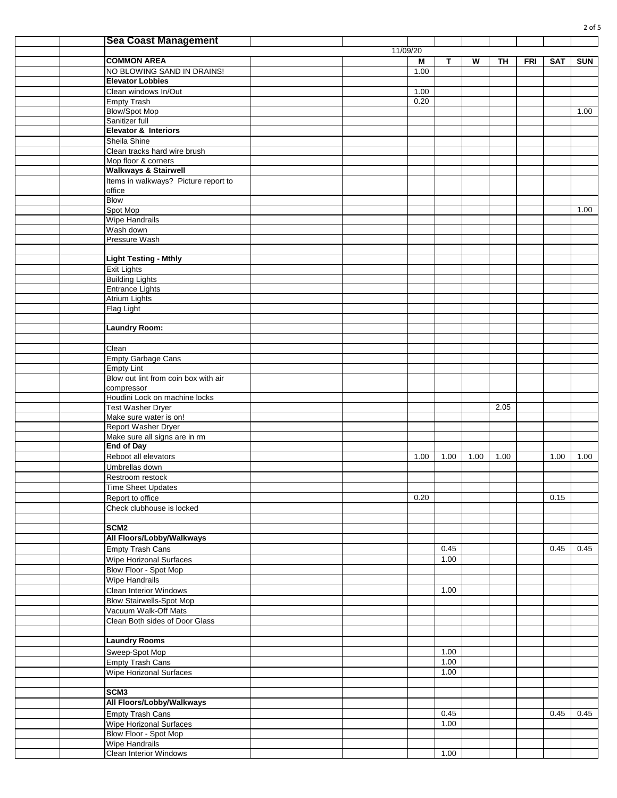|  | <b>Sea Coast Management</b>                    |          |      |      |      |           |            |            |            |
|--|------------------------------------------------|----------|------|------|------|-----------|------------|------------|------------|
|  |                                                | 11/09/20 |      |      |      |           |            |            |            |
|  | <b>COMMON AREA</b>                             |          | M    | T.   | W    | <b>TH</b> | <b>FRI</b> | <b>SAT</b> | <b>SUN</b> |
|  | NO BLOWING SAND IN DRAINS!                     |          | 1.00 |      |      |           |            |            |            |
|  | <b>Elevator Lobbies</b>                        |          |      |      |      |           |            |            |            |
|  | Clean windows In/Out                           |          | 1.00 |      |      |           |            |            |            |
|  | <b>Empty Trash</b>                             |          | 0.20 |      |      |           |            |            |            |
|  | <b>Blow/Spot Mop</b>                           |          |      |      |      |           |            |            | 1.00       |
|  | Sanitizer full                                 |          |      |      |      |           |            |            |            |
|  | <b>Elevator &amp; Interiors</b>                |          |      |      |      |           |            |            |            |
|  | Sheila Shine                                   |          |      |      |      |           |            |            |            |
|  | Clean tracks hard wire brush                   |          |      |      |      |           |            |            |            |
|  | Mop floor & corners                            |          |      |      |      |           |            |            |            |
|  | <b>Walkways &amp; Stairwell</b>                |          |      |      |      |           |            |            |            |
|  | Items in walkways? Picture report to           |          |      |      |      |           |            |            |            |
|  | office                                         |          |      |      |      |           |            |            |            |
|  | <b>Blow</b>                                    |          |      |      |      |           |            |            | 1.00       |
|  | Spot Mop<br>Wipe Handrails                     |          |      |      |      |           |            |            |            |
|  | Wash down                                      |          |      |      |      |           |            |            |            |
|  | Pressure Wash                                  |          |      |      |      |           |            |            |            |
|  |                                                |          |      |      |      |           |            |            |            |
|  | <b>Light Testing - Mthly</b>                   |          |      |      |      |           |            |            |            |
|  | <b>Exit Lights</b>                             |          |      |      |      |           |            |            |            |
|  | <b>Building Lights</b>                         |          |      |      |      |           |            |            |            |
|  | <b>Entrance Lights</b>                         |          |      |      |      |           |            |            |            |
|  | <b>Atrium Lights</b>                           |          |      |      |      |           |            |            |            |
|  | Flag Light                                     |          |      |      |      |           |            |            |            |
|  |                                                |          |      |      |      |           |            |            |            |
|  | <b>Laundry Room:</b>                           |          |      |      |      |           |            |            |            |
|  |                                                |          |      |      |      |           |            |            |            |
|  | Clean                                          |          |      |      |      |           |            |            |            |
|  | <b>Empty Garbage Cans</b>                      |          |      |      |      |           |            |            |            |
|  | <b>Empty Lint</b>                              |          |      |      |      |           |            |            |            |
|  | Blow out lint from coin box with air           |          |      |      |      |           |            |            |            |
|  | compressor<br>Houdini Lock on machine locks    |          |      |      |      |           |            |            |            |
|  | Test Washer Dryer                              |          |      |      |      | 2.05      |            |            |            |
|  | Make sure water is on!                         |          |      |      |      |           |            |            |            |
|  | Report Washer Dryer                            |          |      |      |      |           |            |            |            |
|  | Make sure all signs are in rm                  |          |      |      |      |           |            |            |            |
|  | <b>End of Day</b>                              |          |      |      |      |           |            |            |            |
|  | Reboot all elevators                           |          | 1.00 | 1.00 | 1.00 | 1.00      |            | 1.00       | 1.00       |
|  | Umbrellas down                                 |          |      |      |      |           |            |            |            |
|  | Restroom restock                               |          |      |      |      |           |            |            |            |
|  | Time Sheet Updates                             |          |      |      |      |           |            |            |            |
|  | Report to office                               |          | 0.20 |      |      |           |            | 0.15       |            |
|  | Check clubhouse is locked                      |          |      |      |      |           |            |            |            |
|  |                                                |          |      |      |      |           |            |            |            |
|  | SCM <sub>2</sub>                               |          |      |      |      |           |            |            |            |
|  | All Floors/Lobby/Walkways                      |          |      |      |      |           |            |            |            |
|  | Empty Trash Cans                               |          |      | 0.45 |      |           |            | 0.45       | 0.45       |
|  | Wipe Horizonal Surfaces                        |          |      | 1.00 |      |           |            |            |            |
|  | Blow Floor - Spot Mop                          |          |      |      |      |           |            |            |            |
|  | Wipe Handrails                                 |          |      |      |      |           |            |            |            |
|  | Clean Interior Windows                         |          |      | 1.00 |      |           |            |            |            |
|  | <b>Blow Stairwells-Spot Mop</b>                |          |      |      |      |           |            |            |            |
|  | Vacuum Walk-Off Mats                           |          |      |      |      |           |            |            |            |
|  | Clean Both sides of Door Glass                 |          |      |      |      |           |            |            |            |
|  |                                                |          |      |      |      |           |            |            |            |
|  | <b>Laundry Rooms</b>                           |          |      |      |      |           |            |            |            |
|  | Sweep-Spot Mop                                 |          |      | 1.00 |      |           |            |            |            |
|  | <b>Empty Trash Cans</b>                        |          |      | 1.00 |      |           |            |            |            |
|  | Wipe Horizonal Surfaces                        |          |      | 1.00 |      |           |            |            |            |
|  |                                                |          |      |      |      |           |            |            |            |
|  | SCM <sub>3</sub><br>All Floors/Lobby/Walkways  |          |      |      |      |           |            |            |            |
|  |                                                |          |      |      |      |           |            |            |            |
|  | <b>Empty Trash Cans</b>                        |          |      | 0.45 |      |           |            | 0.45       | 0.45       |
|  | Wipe Horizonal Surfaces                        |          |      | 1.00 |      |           |            |            |            |
|  | Blow Floor - Spot Mop<br><b>Wipe Handrails</b> |          |      |      |      |           |            |            |            |
|  | Clean Interior Windows                         |          |      | 1.00 |      |           |            |            |            |
|  |                                                |          |      |      |      |           |            |            |            |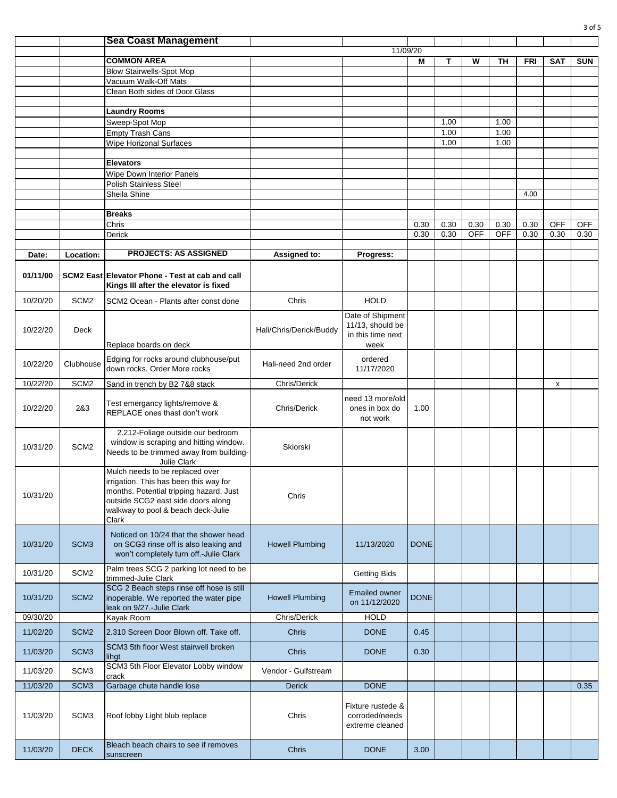|          |                  | <b>Sea Coast Management</b>                                                                                                                                                                               |                         |                                                           |             |      |            |            |            |            |            |
|----------|------------------|-----------------------------------------------------------------------------------------------------------------------------------------------------------------------------------------------------------|-------------------------|-----------------------------------------------------------|-------------|------|------------|------------|------------|------------|------------|
|          |                  |                                                                                                                                                                                                           |                         |                                                           | 11/09/20    |      |            |            |            |            |            |
|          |                  | <b>COMMON AREA</b>                                                                                                                                                                                        |                         |                                                           | M           | T    | w          | TН         | <b>FRI</b> | <b>SAT</b> | <b>SUN</b> |
|          |                  | <b>Blow Stairwells-Spot Mop</b>                                                                                                                                                                           |                         |                                                           |             |      |            |            |            |            |            |
|          |                  | Vacuum Walk-Off Mats                                                                                                                                                                                      |                         |                                                           |             |      |            |            |            |            |            |
|          |                  | Clean Both sides of Door Glass                                                                                                                                                                            |                         |                                                           |             |      |            |            |            |            |            |
|          |                  | <b>Laundry Rooms</b>                                                                                                                                                                                      |                         |                                                           |             |      |            |            |            |            |            |
|          |                  | Sweep-Spot Mop                                                                                                                                                                                            |                         |                                                           |             | 1.00 |            | 1.00       |            |            |            |
|          |                  | <b>Empty Trash Cans</b>                                                                                                                                                                                   |                         |                                                           |             | 1.00 |            | 1.00       |            |            |            |
|          |                  | <b>Wipe Horizonal Surfaces</b>                                                                                                                                                                            |                         |                                                           |             | 1.00 |            | 1.00       |            |            |            |
|          |                  |                                                                                                                                                                                                           |                         |                                                           |             |      |            |            |            |            |            |
|          |                  | <b>Elevators</b>                                                                                                                                                                                          |                         |                                                           |             |      |            |            |            |            |            |
|          |                  | Wipe Down Interior Panels                                                                                                                                                                                 |                         |                                                           |             |      |            |            |            |            |            |
|          |                  | Polish Stainless Steel                                                                                                                                                                                    |                         |                                                           |             |      |            |            |            |            |            |
|          |                  | Sheila Shine                                                                                                                                                                                              |                         |                                                           |             |      |            |            | 4.00       |            |            |
|          |                  | <b>Breaks</b>                                                                                                                                                                                             |                         |                                                           |             |      |            |            |            |            |            |
|          |                  | Chris                                                                                                                                                                                                     |                         |                                                           | 0.30        | 0.30 | 0.30       | 0.30       | 0.30       | <b>OFF</b> | <b>OFF</b> |
|          |                  | Derick                                                                                                                                                                                                    |                         |                                                           | 0.30        | 0.30 | <b>OFF</b> | <b>OFF</b> | 0.30       | 0.30       | 0.30       |
|          |                  |                                                                                                                                                                                                           |                         |                                                           |             |      |            |            |            |            |            |
| Date:    | Location:        | <b>PROJECTS: AS ASSIGNED</b>                                                                                                                                                                              | Assigned to:            | Progress:                                                 |             |      |            |            |            |            |            |
| 01/11/00 |                  | SCM2 East Elevator Phone - Test at cab and call<br>Kings III after the elevator is fixed                                                                                                                  |                         |                                                           |             |      |            |            |            |            |            |
| 10/20/20 | SCM <sub>2</sub> | SCM2 Ocean - Plants after const done                                                                                                                                                                      | Chris                   | <b>HOLD</b>                                               |             |      |            |            |            |            |            |
| 10/22/20 | Deck             |                                                                                                                                                                                                           | Hali/Chris/Derick/Buddy | Date of Shipment<br>11/13, should be<br>in this time next |             |      |            |            |            |            |            |
| 10/22/20 | Clubhouse        | Replace boards on deck<br>Edging for rocks around clubhouse/put                                                                                                                                           | Hali-need 2nd order     | week<br>ordered                                           |             |      |            |            |            |            |            |
| 10/22/20 | SCM <sub>2</sub> | down rocks. Order More rocks<br>Sand in trench by B2 7&8 stack                                                                                                                                            | Chris/Derick            | 11/17/2020                                                |             |      |            |            |            | x          |            |
|          |                  |                                                                                                                                                                                                           |                         |                                                           |             |      |            |            |            |            |            |
| 10/22/20 | 2&3              | Test emergancy lights/remove &<br>REPLACE ones thast don't work                                                                                                                                           | Chris/Derick            | need 13 more/old<br>ones in box do<br>not work            | 1.00        |      |            |            |            |            |            |
| 10/31/20 | SCM <sub>2</sub> | 2.212-Foliage outside our bedroom<br>window is scraping and hitting window.<br>Needs to be trimmed away from building-<br>Julie Clark                                                                     | Skiorski                |                                                           |             |      |            |            |            |            |            |
| 10/31/20 |                  | Mulch needs to be replaced over<br>irrigation. This has been this way for<br>months. Potential tripping hazard. Just<br>outside SCG2 east side doors along<br>walkway to pool & beach deck-Julie<br>Clark | Chris                   |                                                           |             |      |            |            |            |            |            |
| 10/31/20 | SCM <sub>3</sub> | Noticed on 10/24 that the shower head<br>on SCG3 rinse off is also leaking and<br>won't completely turn off.-Julie Clark                                                                                  | <b>Howell Plumbing</b>  | 11/13/2020                                                | <b>DONE</b> |      |            |            |            |            |            |
| 10/31/20 | SCM <sub>2</sub> | Palm trees SCG 2 parking lot need to be<br>trimmed-Julie Clark                                                                                                                                            |                         | <b>Getting Bids</b>                                       |             |      |            |            |            |            |            |
| 10/31/20 | SCM <sub>2</sub> | SCG 2 Beach steps rinse off hose is still<br>inoperable. We reported the water pipe<br>leak on 9/27.-Julie Clark                                                                                          | <b>Howell Plumbing</b>  | <b>Emailed owner</b><br>on 11/12/2020                     | <b>DONE</b> |      |            |            |            |            |            |
| 09/30/20 |                  | Kayak Room                                                                                                                                                                                                | Chris/Derick            | <b>HOLD</b>                                               |             |      |            |            |            |            |            |
| 11/02/20 | SCM <sub>2</sub> | 2.310 Screen Door Blown off. Take off.                                                                                                                                                                    | <b>Chris</b>            | <b>DONE</b>                                               | 0.45        |      |            |            |            |            |            |
| 11/03/20 | SCM <sub>3</sub> | SCM3 5th floor West stairwell broken<br>lihgt                                                                                                                                                             | Chris                   | <b>DONE</b>                                               | 0.30        |      |            |            |            |            |            |
| 11/03/20 | SCM <sub>3</sub> | SCM3 5th Floor Elevator Lobby window                                                                                                                                                                      | Vendor - Gulfstream     |                                                           |             |      |            |            |            |            |            |
| 11/03/20 | SCM <sub>3</sub> | crack<br>Garbage chute handle lose                                                                                                                                                                        | <b>Derick</b>           | <b>DONE</b>                                               |             |      |            |            |            |            | 0.35       |
|          |                  |                                                                                                                                                                                                           |                         |                                                           |             |      |            |            |            |            |            |
| 11/03/20 | SCM <sub>3</sub> | Roof lobby Light blub replace                                                                                                                                                                             | Chris                   | Fixture rustede &<br>corroded/needs<br>extreme cleaned    |             |      |            |            |            |            |            |
| 11/03/20 | <b>DECK</b>      | Bleach beach chairs to see if removes<br>sunscreen                                                                                                                                                        | Chris                   | <b>DONE</b>                                               | 3.00        |      |            |            |            |            |            |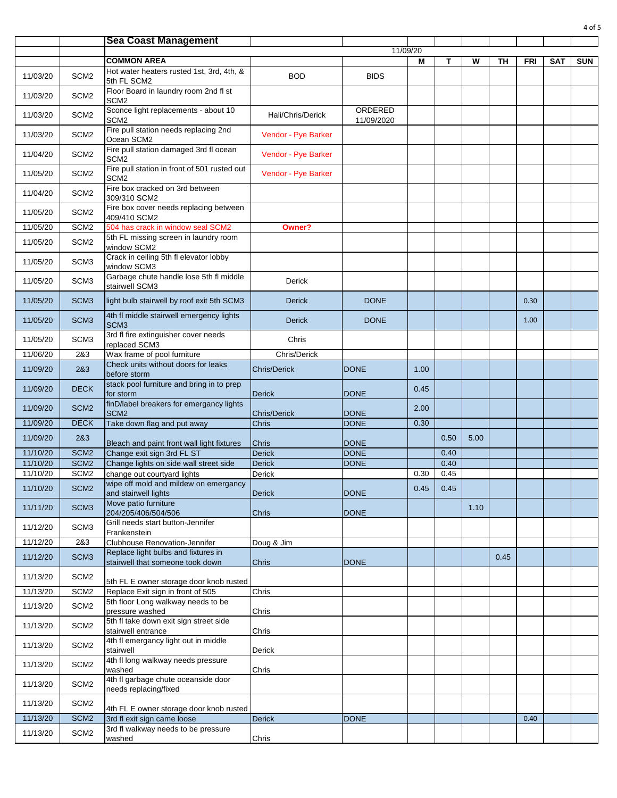|          |                  | <b>Sea Coast Management</b>                                             |                     |                       |          |      |      |      |      |            |            |
|----------|------------------|-------------------------------------------------------------------------|---------------------|-----------------------|----------|------|------|------|------|------------|------------|
|          |                  |                                                                         |                     |                       | 11/09/20 |      |      |      |      |            |            |
|          |                  | <b>COMMON AREA</b>                                                      |                     |                       | М        | Т    | W    | ΤН   | FRI  | <b>SAT</b> | <b>SUN</b> |
| 11/03/20 | SCM <sub>2</sub> | Hot water heaters rusted 1st, 3rd, 4th, &<br>5th FL SCM2                | <b>BOD</b>          | <b>BIDS</b>           |          |      |      |      |      |            |            |
| 11/03/20 | SCM <sub>2</sub> | Floor Board in laundry room 2nd fl st<br>SCM <sub>2</sub>               |                     |                       |          |      |      |      |      |            |            |
| 11/03/20 | SCM <sub>2</sub> | Sconce light replacements - about 10<br>SCM <sub>2</sub>                | Hali/Chris/Derick   | ORDERED<br>11/09/2020 |          |      |      |      |      |            |            |
| 11/03/20 | SCM <sub>2</sub> | Fire pull station needs replacing 2nd<br>Ocean SCM2                     | Vendor - Pye Barker |                       |          |      |      |      |      |            |            |
| 11/04/20 | SCM <sub>2</sub> | Fire pull station damaged 3rd fl ocean<br>SCM <sub>2</sub>              | Vendor - Pye Barker |                       |          |      |      |      |      |            |            |
| 11/05/20 | SCM <sub>2</sub> | Fire pull station in front of 501 rusted out<br>SCM <sub>2</sub>        | Vendor - Pye Barker |                       |          |      |      |      |      |            |            |
| 11/04/20 | SCM <sub>2</sub> | Fire box cracked on 3rd between<br>309/310 SCM2                         |                     |                       |          |      |      |      |      |            |            |
| 11/05/20 | SCM <sub>2</sub> | Fire box cover needs replacing between<br>409/410 SCM2                  |                     |                       |          |      |      |      |      |            |            |
| 11/05/20 | SCM <sub>2</sub> | 504 has crack in window seal SCM2                                       | Owner?              |                       |          |      |      |      |      |            |            |
| 11/05/20 | SCM <sub>2</sub> | 5th FL missing screen in laundry room<br>window SCM2                    |                     |                       |          |      |      |      |      |            |            |
| 11/05/20 | SCM <sub>3</sub> | Crack in ceiling 5th fl elevator lobby<br>window SCM3                   |                     |                       |          |      |      |      |      |            |            |
| 11/05/20 | SCM <sub>3</sub> | Garbage chute handle lose 5th fl middle<br>stairwell SCM3               | Derick              |                       |          |      |      |      |      |            |            |
| 11/05/20 | SCM <sub>3</sub> | light bulb stairwell by roof exit 5th SCM3                              | <b>Derick</b>       | <b>DONE</b>           |          |      |      |      | 0.30 |            |            |
| 11/05/20 | SCM <sub>3</sub> | 4th fl middle stairwell emergency lights<br>SCM <sub>3</sub>            | <b>Derick</b>       | <b>DONE</b>           |          |      |      |      | 1.00 |            |            |
| 11/05/20 | SCM <sub>3</sub> | 3rd fl fire extinguisher cover needs<br>replaced SCM3                   | Chris               |                       |          |      |      |      |      |            |            |
| 11/06/20 | 2&3              | Wax frame of pool furniture                                             | Chris/Derick        |                       |          |      |      |      |      |            |            |
| 11/09/20 | 2&3              | Check units without doors for leaks<br>before storm                     | <b>Chris/Derick</b> | <b>DONE</b>           | 1.00     |      |      |      |      |            |            |
| 11/09/20 | <b>DECK</b>      | stack pool furniture and bring in to prep<br>for storm                  | <b>Derick</b>       | <b>DONE</b>           | 0.45     |      |      |      |      |            |            |
| 11/09/20 | SCM <sub>2</sub> | finD/label breakers for emergancy lights<br>SCM <sub>2</sub>            | <b>Chris/Derick</b> | <b>DONE</b>           | 2.00     |      |      |      |      |            |            |
| 11/09/20 | <b>DECK</b>      | Take down flag and put away                                             | Chris               | <b>DONE</b>           | 0.30     |      |      |      |      |            |            |
| 11/09/20 | 2&3              | Bleach and paint front wall light fixtures                              | <b>Chris</b>        | <b>DONE</b>           |          | 0.50 | 5.00 |      |      |            |            |
| 11/10/20 | SCM <sub>2</sub> | Change exit sign 3rd FL ST                                              | <b>Derick</b>       | <b>DONE</b>           |          | 0.40 |      |      |      |            |            |
| 11/10/20 | SCM <sub>2</sub> | Change lights on side wall street side                                  | <b>Derick</b>       | <b>DONE</b>           |          | 0.40 |      |      |      |            |            |
| 11/10/20 | SCM <sub>2</sub> | change out courtyard lights                                             | Derick              |                       | 0.30     | 0.45 |      |      |      |            |            |
| 11/10/20 | SCM <sub>2</sub> | wipe off mold and mildew on emergancy<br>and stairwell lights           | <b>Derick</b>       | <b>DONE</b>           | 0.45     | 0.45 |      |      |      |            |            |
| 11/11/20 | SCM <sub>3</sub> | Move patio furniture<br>204/205/406/504/506                             | <b>Chris</b>        | <b>DONE</b>           |          |      | 1.10 |      |      |            |            |
| 11/12/20 | SCM <sub>3</sub> | Grill needs start button-Jennifer<br>Frankenstein                       |                     |                       |          |      |      |      |      |            |            |
| 11/12/20 | 2&3              | Clubhouse Renovation-Jennifer                                           | Doug & Jim          |                       |          |      |      |      |      |            |            |
| 11/12/20 | SCM <sub>3</sub> | Replace light bulbs and fixtures in<br>stairwell that someone took down | Chris               | <b>DONE</b>           |          |      |      | 0.45 |      |            |            |
| 11/13/20 | SCM <sub>2</sub> | 5th FL E owner storage door knob rusted                                 |                     |                       |          |      |      |      |      |            |            |
| 11/13/20 | SCM <sub>2</sub> | Replace Exit sign in front of 505                                       | Chris               |                       |          |      |      |      |      |            |            |
| 11/13/20 | SCM <sub>2</sub> | 5th floor Long walkway needs to be<br>pressure washed                   | Chris               |                       |          |      |      |      |      |            |            |
| 11/13/20 | SCM <sub>2</sub> | 5th fl take down exit sign street side<br>stairwell entrance            | Chris               |                       |          |      |      |      |      |            |            |
| 11/13/20 | SCM <sub>2</sub> | 4th fl emergancy light out in middle<br>stairwell                       | Derick              |                       |          |      |      |      |      |            |            |
| 11/13/20 | SCM <sub>2</sub> | 4th fl long walkway needs pressure<br>washed                            | Chris               |                       |          |      |      |      |      |            |            |
| 11/13/20 | SCM <sub>2</sub> | 4th fl garbage chute oceanside door<br>needs replacing/fixed            |                     |                       |          |      |      |      |      |            |            |
| 11/13/20 | SCM <sub>2</sub> | 4th FL E owner storage door knob rusted                                 |                     |                       |          |      |      |      |      |            |            |
| 11/13/20 | SCM <sub>2</sub> | 3rd fl exit sign came loose                                             | <b>Derick</b>       | <b>DONE</b>           |          |      |      |      | 0.40 |            |            |
| 11/13/20 | SCM <sub>2</sub> | 3rd fl walkway needs to be pressure                                     |                     |                       |          |      |      |      |      |            |            |
|          |                  | washed                                                                  | Chris               |                       |          |      |      |      |      |            |            |